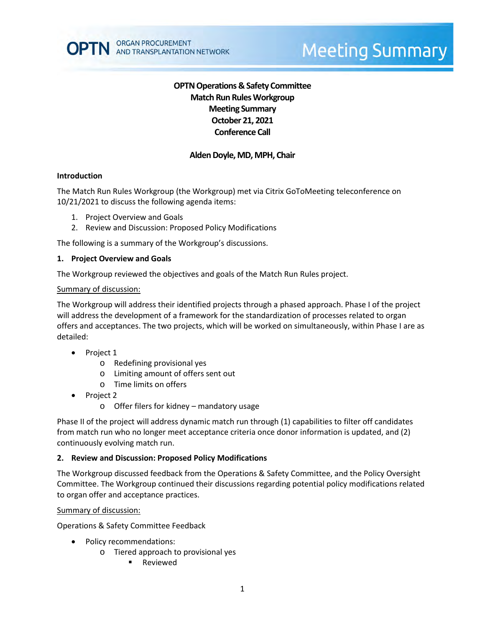# **OPTN Operations & Safety Committee Match Run RulesWorkgroup Meeting Summary October 21, 2021 Conference Call**

# **Alden Doyle, MD, MPH, Chair**

## **Introduction**

The Match Run Rules Workgroup (the Workgroup) met via Citrix GoToMeeting teleconference on 10/21/2021 to discuss the following agenda items:

- 1. Project Overview and Goals
- 2. Review and Discussion: Proposed Policy Modifications

The following is a summary of the Workgroup's discussions.

#### **1. Project Overview and Goals**

The Workgroup reviewed the objectives and goals of the Match Run Rules project.

#### Summary of discussion:

The Workgroup will address their identified projects through a phased approach. Phase I of the project will address the development of a framework for the standardization of processes related to organ offers and acceptances. The two projects, which will be worked on simultaneously, within Phase I are as detailed:

- Project 1
	- o Redefining provisional yes
	- o Limiting amount of offers sent out
	- o Time limits on offers
- Project 2
	- o Offer filers for kidney mandatory usage

Phase II of the project will address dynamic match run through (1) capabilities to filter off candidates from match run who no longer meet acceptance criteria once donor information is updated, and (2) continuously evolving match run.

#### **2. Review and Discussion: Proposed Policy Modifications**

The Workgroup discussed feedback from the Operations & Safety Committee, and the Policy Oversight Committee. The Workgroup continued their discussions regarding potential policy modifications related to organ offer and acceptance practices.

#### Summary of discussion:

Operations & Safety Committee Feedback

- Policy recommendations:
	- o Tiered approach to provisional yes
		- Reviewed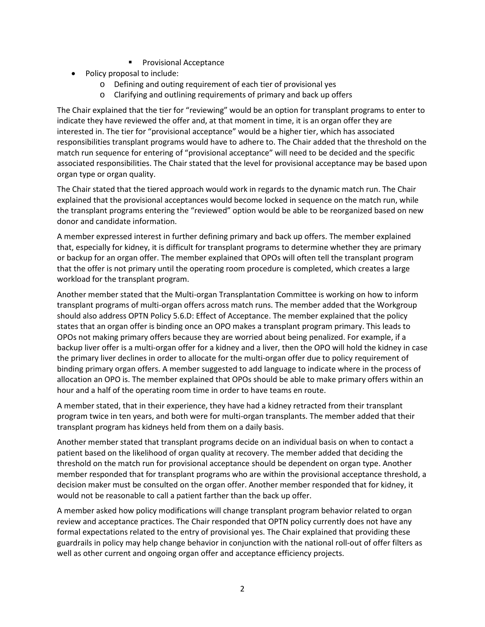- Provisional Acceptance
- Policy proposal to include:
	- o Defining and outing requirement of each tier of provisional yes
	- o Clarifying and outlining requirements of primary and back up offers

The Chair explained that the tier for "reviewing" would be an option for transplant programs to enter to indicate they have reviewed the offer and, at that moment in time, it is an organ offer they are interested in. The tier for "provisional acceptance" would be a higher tier, which has associated responsibilities transplant programs would have to adhere to. The Chair added that the threshold on the match run sequence for entering of "provisional acceptance" will need to be decided and the specific associated responsibilities. The Chair stated that the level for provisional acceptance may be based upon organ type or organ quality.

The Chair stated that the tiered approach would work in regards to the dynamic match run. The Chair explained that the provisional acceptances would become locked in sequence on the match run, while the transplant programs entering the "reviewed" option would be able to be reorganized based on new donor and candidate information.

A member expressed interest in further defining primary and back up offers. The member explained that, especially for kidney, it is difficult for transplant programs to determine whether they are primary or backup for an organ offer. The member explained that OPOs will often tell the transplant program that the offer is not primary until the operating room procedure is completed, which creates a large workload for the transplant program.

Another member stated that the Multi-organ Transplantation Committee is working on how to inform transplant programs of multi-organ offers across match runs. The member added that the Workgroup should also address OPTN Policy 5.6.D: Effect of Acceptance. The member explained that the policy states that an organ offer is binding once an OPO makes a transplant program primary. This leads to OPOs not making primary offers because they are worried about being penalized. For example, if a backup liver offer is a multi-organ offer for a kidney and a liver, then the OPO will hold the kidney in case the primary liver declines in order to allocate for the multi-organ offer due to policy requirement of binding primary organ offers. A member suggested to add language to indicate where in the process of allocation an OPO is. The member explained that OPOs should be able to make primary offers within an hour and a half of the operating room time in order to have teams en route.

A member stated, that in their experience, they have had a kidney retracted from their transplant program twice in ten years, and both were for multi-organ transplants. The member added that their transplant program has kidneys held from them on a daily basis.

Another member stated that transplant programs decide on an individual basis on when to contact a patient based on the likelihood of organ quality at recovery. The member added that deciding the threshold on the match run for provisional acceptance should be dependent on organ type. Another member responded that for transplant programs who are within the provisional acceptance threshold, a decision maker must be consulted on the organ offer. Another member responded that for kidney, it would not be reasonable to call a patient farther than the back up offer.

A member asked how policy modifications will change transplant program behavior related to organ review and acceptance practices. The Chair responded that OPTN policy currently does not have any formal expectations related to the entry of provisional yes. The Chair explained that providing these guardrails in policy may help change behavior in conjunction with the national roll-out of offer filters as well as other current and ongoing organ offer and acceptance efficiency projects.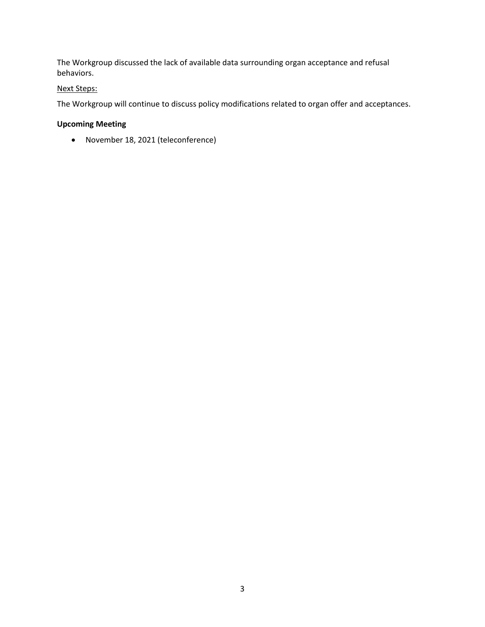The Workgroup discussed the lack of available data surrounding organ acceptance and refusal behaviors.

## Next Steps:

The Workgroup will continue to discuss policy modifications related to organ offer and acceptances.

# **Upcoming Meeting**

November 18, 2021 (teleconference)